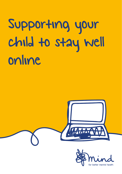Supporting your child to stay well online



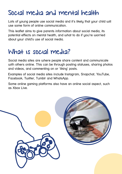#### Social media and mental health

Lots of young people use social media and it's likely that your child will use some form of online communication.

This leaflet aims to give parents information about social media, its potential effects on mental health, and what to do if you're worried about your child's use of social media.

#### What is social media?

Social media sites are where people share content and communicate with others online. This can be through posting statuses, sharing photos and videos, and commenting on or 'liking' posts.

Examples of social media sites include Instagram, Snapchat, YouTube, Facebook, Twitter, Tumblr and WhatsApp.

Some online gaming platforms also have an online social aspect, such as Xbox Live.

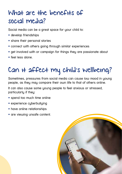## What are the benefits of social media?

Social media can be a great space for your child to:

- develop friendships
- share their personal stories
- connect with others going through similar experiences
- get involved with or campaign for things they are passionate about
- feel less alone.

# Can it affect my child's wellbeing?

Sometimes, pressures from social media can cause low mood in young people, as they may compare their own life to that of others online.

It can also cause some young people to feel anxious or stressed. particularly if they:

- spend too much time online
- experience cyberbullying
- have online relationships
- are viewing unsafe content.